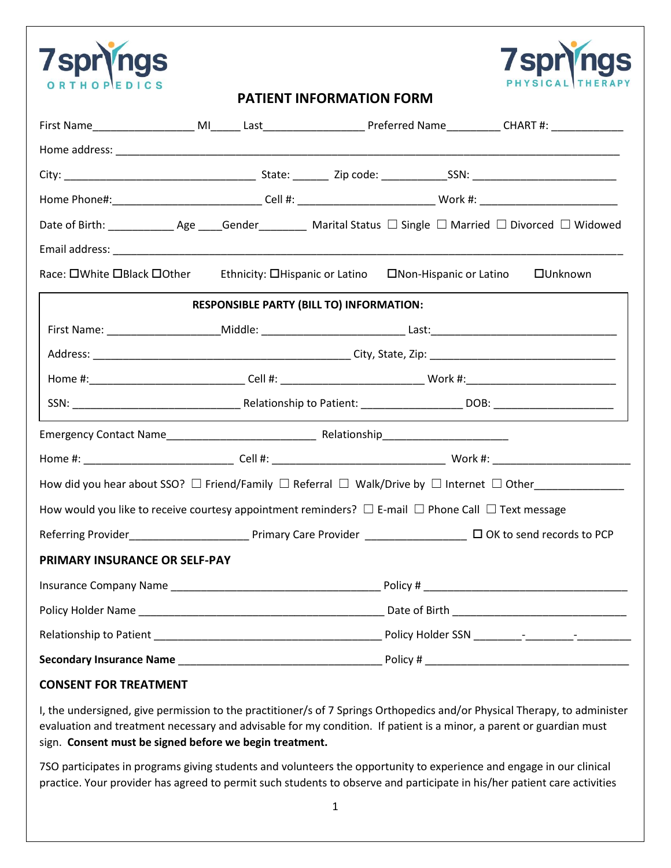



## **PATIENT INFORMATION FORM**

| Home Phone#:_______________________________Cell #: _______________________________Work #: __________________________ |                                                                                                                                               |                                                                                                                |  |  |  |  |  |
|----------------------------------------------------------------------------------------------------------------------|-----------------------------------------------------------------------------------------------------------------------------------------------|----------------------------------------------------------------------------------------------------------------|--|--|--|--|--|
|                                                                                                                      |                                                                                                                                               |                                                                                                                |  |  |  |  |  |
|                                                                                                                      |                                                                                                                                               |                                                                                                                |  |  |  |  |  |
| Race: OWhite OBlack OOther Ethnicity: OHispanic or Latino ONon-Hispanic or Latino<br><b>OUnknown</b>                 |                                                                                                                                               |                                                                                                                |  |  |  |  |  |
| <b>RESPONSIBLE PARTY (BILL TO) INFORMATION:</b>                                                                      |                                                                                                                                               |                                                                                                                |  |  |  |  |  |
|                                                                                                                      |                                                                                                                                               |                                                                                                                |  |  |  |  |  |
|                                                                                                                      |                                                                                                                                               |                                                                                                                |  |  |  |  |  |
|                                                                                                                      |                                                                                                                                               | Home #:________________________________Cell #: _________________________________Work #:_______________________ |  |  |  |  |  |
|                                                                                                                      |                                                                                                                                               |                                                                                                                |  |  |  |  |  |
|                                                                                                                      |                                                                                                                                               |                                                                                                                |  |  |  |  |  |
|                                                                                                                      |                                                                                                                                               |                                                                                                                |  |  |  |  |  |
|                                                                                                                      |                                                                                                                                               |                                                                                                                |  |  |  |  |  |
| How would you like to receive courtesy appointment reminders? $\Box$ E-mail $\Box$ Phone Call $\Box$ Text message    |                                                                                                                                               |                                                                                                                |  |  |  |  |  |
|                                                                                                                      | Referring Provider <b>Mate and Travelly Care Provider</b> (Care Provider Mate 2008 to send records to PCP <b>Referring Provider Some 2008</b> |                                                                                                                |  |  |  |  |  |
| PRIMARY INSURANCE OR SELF-PAY                                                                                        |                                                                                                                                               |                                                                                                                |  |  |  |  |  |
|                                                                                                                      |                                                                                                                                               |                                                                                                                |  |  |  |  |  |
|                                                                                                                      |                                                                                                                                               |                                                                                                                |  |  |  |  |  |
|                                                                                                                      |                                                                                                                                               |                                                                                                                |  |  |  |  |  |
|                                                                                                                      |                                                                                                                                               |                                                                                                                |  |  |  |  |  |

## **CONSENT FOR TREATMENT**

I, the undersigned, give permission to the practitioner/s of 7 Springs Orthopedics and/or Physical Therapy, to administer evaluation and treatment necessary and advisable for my condition. If patient is a minor, a parent or guardian must sign. **Consent must be signed before we begin treatment.**

7SO participates in programs giving students and volunteers the opportunity to experience and engage in our clinical practice. Your provider has agreed to permit such students to observe and participate in his/her patient care activities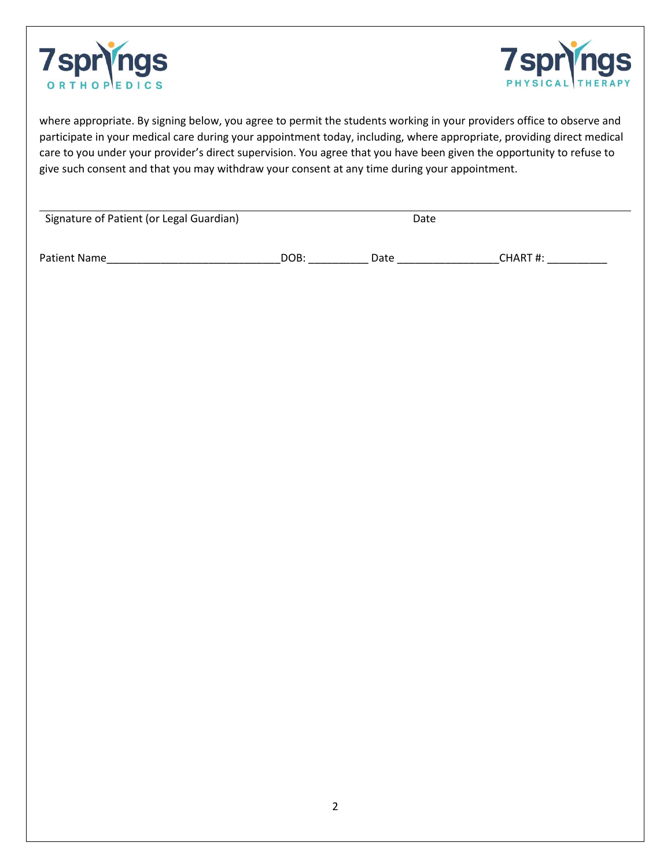



where appropriate. By signing below, you agree to permit the students working in your providers office to observe and participate in your medical care during your appointment today, including, where appropriate, providing direct medical care to you under your provider's direct supervision. You agree that you have been given the opportunity to refuse to give such consent and that you may withdraw your consent at any time during your appointment.

| Signature of Patient (or Legal Guardian) |      | Date |         |
|------------------------------------------|------|------|---------|
|                                          |      |      |         |
| Patient Name                             | DOB: | Date | CHART#: |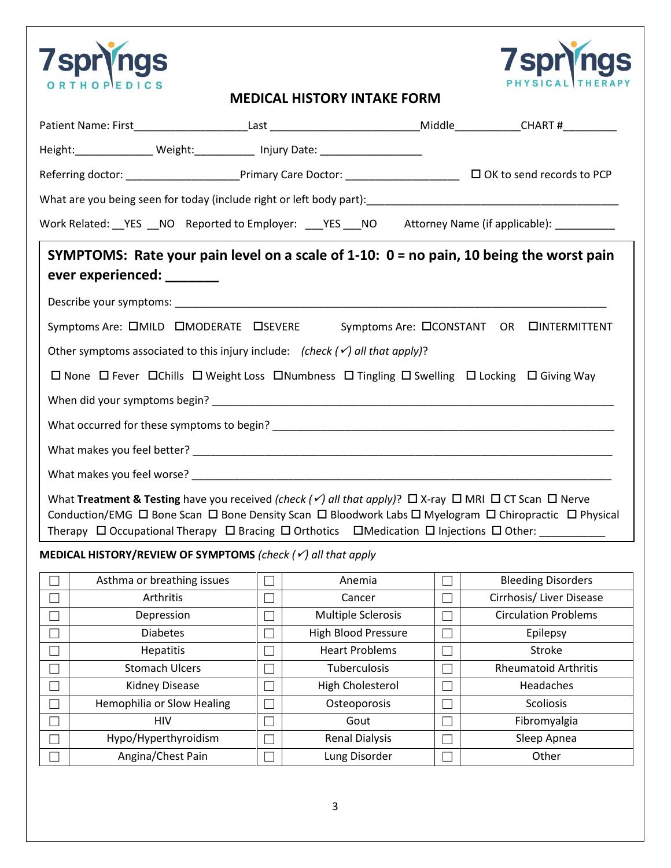



## **MEDICAL HISTORY INTAKE FORM**

|                                                                                                                                            | Height:__________________ Weight:_____________ Injury Date: ____________________                                                                                                                                                                                         |        |                            |        |                                                                                                                                     |  |  |  |  |
|--------------------------------------------------------------------------------------------------------------------------------------------|--------------------------------------------------------------------------------------------------------------------------------------------------------------------------------------------------------------------------------------------------------------------------|--------|----------------------------|--------|-------------------------------------------------------------------------------------------------------------------------------------|--|--|--|--|
|                                                                                                                                            | Referring doctor: ____________________________Primary Care Doctor: _________________________________ OK to send records to PCP                                                                                                                                           |        |                            |        |                                                                                                                                     |  |  |  |  |
|                                                                                                                                            |                                                                                                                                                                                                                                                                          |        |                            |        |                                                                                                                                     |  |  |  |  |
| Work Related: __YES __NO Reported to Employer: ___YES ___NO Attorney Name (if applicable): _________                                       |                                                                                                                                                                                                                                                                          |        |                            |        |                                                                                                                                     |  |  |  |  |
|                                                                                                                                            | ever experienced: _______                                                                                                                                                                                                                                                |        |                            |        | SYMPTOMS: Rate your pain level on a scale of $1-10$ : $0 =$ no pain, 10 being the worst pain                                        |  |  |  |  |
|                                                                                                                                            |                                                                                                                                                                                                                                                                          |        |                            |        |                                                                                                                                     |  |  |  |  |
|                                                                                                                                            | Symptoms Are: OMILD OMODERATE OSEVERE                                                                                                                                                                                                                                    |        |                            |        | Symptoms Are: CCONSTANT OR CINTERMITTENT                                                                                            |  |  |  |  |
| Other symptoms associated to this injury include: (check $(\checkmark)$ all that apply)?                                                   |                                                                                                                                                                                                                                                                          |        |                            |        |                                                                                                                                     |  |  |  |  |
|                                                                                                                                            |                                                                                                                                                                                                                                                                          |        |                            |        |                                                                                                                                     |  |  |  |  |
| $\Box$ None $\Box$ Fever $\Box$ Chills $\Box$ Weight Loss $\Box$ Numbness $\Box$ Tingling $\Box$ Swelling $\Box$ Locking $\Box$ Giving Way |                                                                                                                                                                                                                                                                          |        |                            |        |                                                                                                                                     |  |  |  |  |
|                                                                                                                                            |                                                                                                                                                                                                                                                                          |        |                            |        |                                                                                                                                     |  |  |  |  |
|                                                                                                                                            |                                                                                                                                                                                                                                                                          |        |                            |        |                                                                                                                                     |  |  |  |  |
|                                                                                                                                            |                                                                                                                                                                                                                                                                          |        |                            |        |                                                                                                                                     |  |  |  |  |
|                                                                                                                                            |                                                                                                                                                                                                                                                                          |        |                            |        |                                                                                                                                     |  |  |  |  |
|                                                                                                                                            | What Treatment & Testing have you received (check $(\checkmark)$ all that apply)? $\Box$ X-ray $\Box$ MRI $\Box$ CT Scan $\Box$ Nerve<br>Therapy $\Box$ Occupational Therapy $\Box$ Bracing $\Box$ Orthotics $\Box$ Medication $\Box$ Injections $\Box$ Other: _________ |        |                            |        | Conduction/EMG $\Box$ Bone Scan $\Box$ Bone Density Scan $\Box$ Bloodwork Labs $\Box$ Myelogram $\Box$ Chiropractic $\Box$ Physical |  |  |  |  |
|                                                                                                                                            | <b>MEDICAL HISTORY/REVIEW OF SYMPTOMS</b> (check $(\checkmark)$ all that apply                                                                                                                                                                                           |        |                            |        |                                                                                                                                     |  |  |  |  |
|                                                                                                                                            | Asthma or breathing issues                                                                                                                                                                                                                                               | $\Box$ | Anemia                     | $\Box$ | <b>Bleeding Disorders</b>                                                                                                           |  |  |  |  |
| П                                                                                                                                          | Arthritis                                                                                                                                                                                                                                                                | $\Box$ | Cancer                     | $\Box$ | Cirrhosis/ Liver Disease                                                                                                            |  |  |  |  |
|                                                                                                                                            | Depression                                                                                                                                                                                                                                                               |        | Multiple Sclerosis         | $\Box$ | <b>Circulation Problems</b>                                                                                                         |  |  |  |  |
|                                                                                                                                            | <b>Diabetes</b>                                                                                                                                                                                                                                                          |        | <b>High Blood Pressure</b> | $\Box$ | Epilepsy                                                                                                                            |  |  |  |  |
|                                                                                                                                            | Hepatitis                                                                                                                                                                                                                                                                |        | <b>Heart Problems</b>      | П      | Stroke                                                                                                                              |  |  |  |  |
|                                                                                                                                            | <b>Stomach Ulcers</b>                                                                                                                                                                                                                                                    |        | Tuberculosis               | $\Box$ | <b>Rheumatoid Arthritis</b>                                                                                                         |  |  |  |  |
|                                                                                                                                            | Kidney Disease                                                                                                                                                                                                                                                           |        | High Cholesterol           |        | Headaches                                                                                                                           |  |  |  |  |
|                                                                                                                                            | Hemophilia or Slow Healing                                                                                                                                                                                                                                               |        | Osteoporosis               | Г      | Scoliosis                                                                                                                           |  |  |  |  |
|                                                                                                                                            | <b>HIV</b>                                                                                                                                                                                                                                                               |        | Gout                       | $\Box$ | Fibromyalgia                                                                                                                        |  |  |  |  |
|                                                                                                                                            | Hypo/Hyperthyroidism                                                                                                                                                                                                                                                     |        | <b>Renal Dialysis</b>      |        | Sleep Apnea                                                                                                                         |  |  |  |  |
|                                                                                                                                            | Angina/Chest Pain                                                                                                                                                                                                                                                        |        | Lung Disorder              |        | Other                                                                                                                               |  |  |  |  |